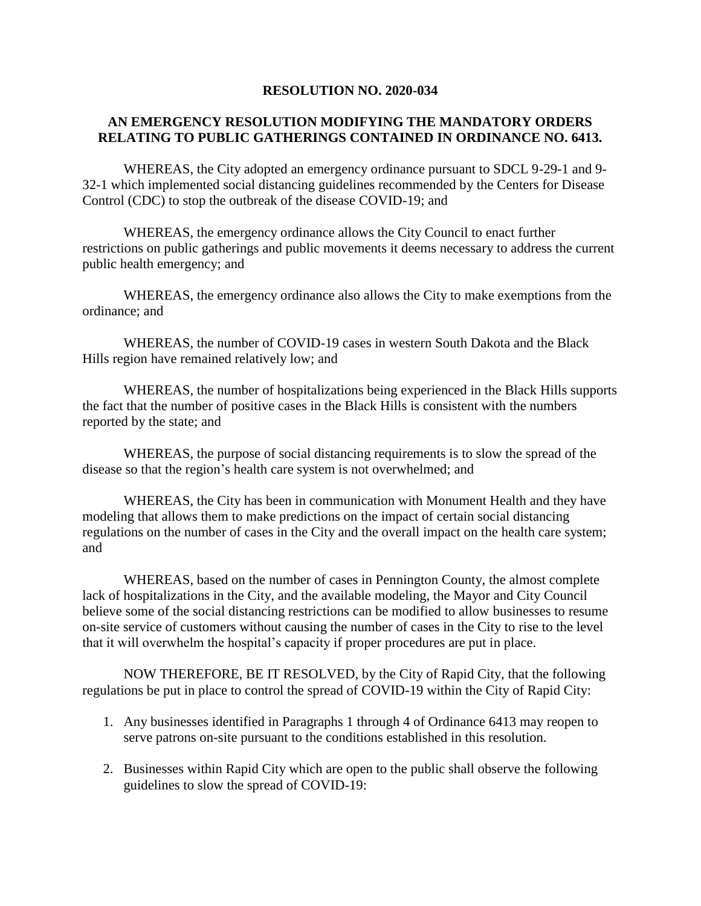## **RESOLUTION NO. 2020-034**

## **AN EMERGENCY RESOLUTION MODIFYING THE MANDATORY ORDERS RELATING TO PUBLIC GATHERINGS CONTAINED IN ORDINANCE NO. 6413.**

WHEREAS, the City adopted an emergency ordinance pursuant to SDCL 9-29-1 and 9- 32-1 which implemented social distancing guidelines recommended by the Centers for Disease Control (CDC) to stop the outbreak of the disease COVID-19; and

WHEREAS, the emergency ordinance allows the City Council to enact further restrictions on public gatherings and public movements it deems necessary to address the current public health emergency; and

WHEREAS, the emergency ordinance also allows the City to make exemptions from the ordinance; and

WHEREAS, the number of COVID-19 cases in western South Dakota and the Black Hills region have remained relatively low; and

WHEREAS, the number of hospitalizations being experienced in the Black Hills supports the fact that the number of positive cases in the Black Hills is consistent with the numbers reported by the state; and

WHEREAS, the purpose of social distancing requirements is to slow the spread of the disease so that the region's health care system is not overwhelmed; and

WHEREAS, the City has been in communication with Monument Health and they have modeling that allows them to make predictions on the impact of certain social distancing regulations on the number of cases in the City and the overall impact on the health care system; and

WHEREAS, based on the number of cases in Pennington County, the almost complete lack of hospitalizations in the City, and the available modeling, the Mayor and City Council believe some of the social distancing restrictions can be modified to allow businesses to resume on-site service of customers without causing the number of cases in the City to rise to the level that it will overwhelm the hospital's capacity if proper procedures are put in place.

NOW THEREFORE, BE IT RESOLVED, by the City of Rapid City, that the following regulations be put in place to control the spread of COVID-19 within the City of Rapid City:

- 1. Any businesses identified in Paragraphs 1 through 4 of Ordinance 6413 may reopen to serve patrons on-site pursuant to the conditions established in this resolution.
- 2. Businesses within Rapid City which are open to the public shall observe the following guidelines to slow the spread of COVID-19: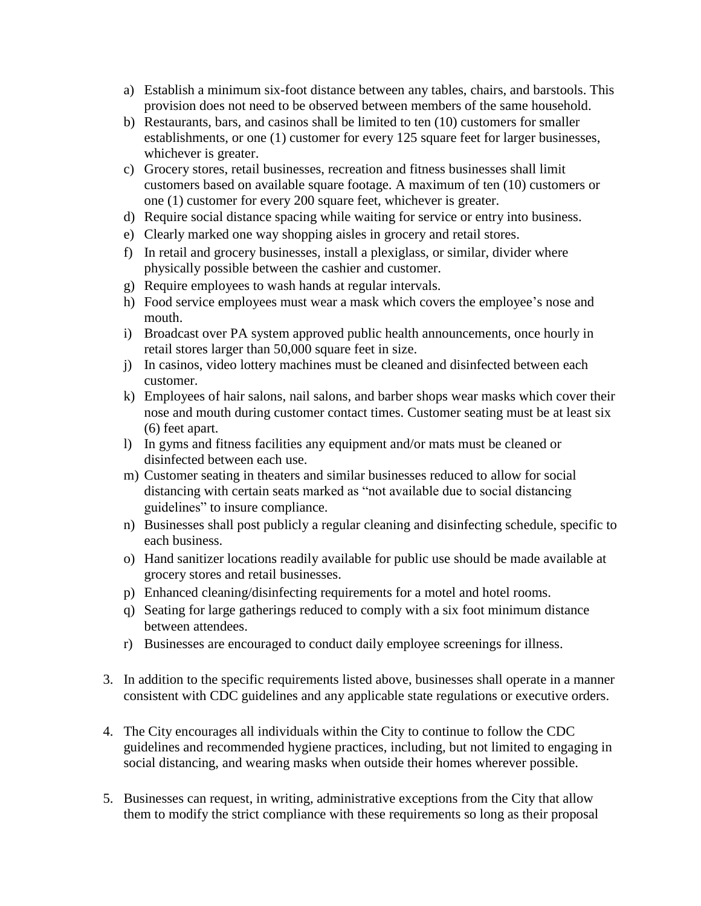- a) Establish a minimum six-foot distance between any tables, chairs, and barstools. This provision does not need to be observed between members of the same household.
- b) Restaurants, bars, and casinos shall be limited to ten (10) customers for smaller establishments, or one (1) customer for every 125 square feet for larger businesses, whichever is greater.
- c) Grocery stores, retail businesses, recreation and fitness businesses shall limit customers based on available square footage. A maximum of ten (10) customers or one (1) customer for every 200 square feet, whichever is greater.
- d) Require social distance spacing while waiting for service or entry into business.
- e) Clearly marked one way shopping aisles in grocery and retail stores.
- f) In retail and grocery businesses, install a plexiglass, or similar, divider where physically possible between the cashier and customer.
- g) Require employees to wash hands at regular intervals.
- h) Food service employees must wear a mask which covers the employee's nose and mouth.
- i) Broadcast over PA system approved public health announcements, once hourly in retail stores larger than 50,000 square feet in size.
- j) In casinos, video lottery machines must be cleaned and disinfected between each customer.
- k) Employees of hair salons, nail salons, and barber shops wear masks which cover their nose and mouth during customer contact times. Customer seating must be at least six (6) feet apart.
- l) In gyms and fitness facilities any equipment and/or mats must be cleaned or disinfected between each use.
- m) Customer seating in theaters and similar businesses reduced to allow for social distancing with certain seats marked as "not available due to social distancing guidelines" to insure compliance.
- n) Businesses shall post publicly a regular cleaning and disinfecting schedule, specific to each business.
- o) Hand sanitizer locations readily available for public use should be made available at grocery stores and retail businesses.
- p) Enhanced cleaning/disinfecting requirements for a motel and hotel rooms.
- q) Seating for large gatherings reduced to comply with a six foot minimum distance between attendees.
- r) Businesses are encouraged to conduct daily employee screenings for illness.
- 3. In addition to the specific requirements listed above, businesses shall operate in a manner consistent with CDC guidelines and any applicable state regulations or executive orders.
- 4. The City encourages all individuals within the City to continue to follow the CDC guidelines and recommended hygiene practices, including, but not limited to engaging in social distancing, and wearing masks when outside their homes wherever possible.
- 5. Businesses can request, in writing, administrative exceptions from the City that allow them to modify the strict compliance with these requirements so long as their proposal